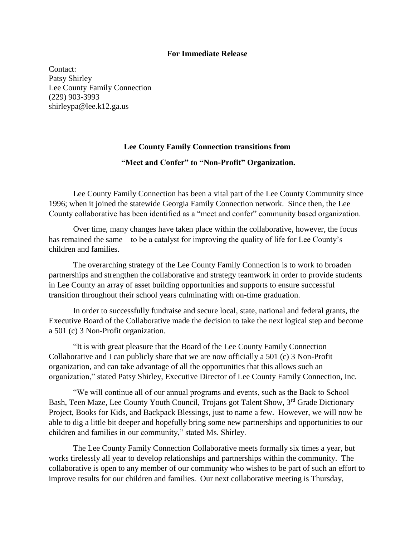## **For Immediate Release**

Contact: Patsy Shirley Lee County Family Connection (229) 903-3993 shirleypa@lee.k12.ga.us

## **Lee County Family Connection transitions from**

## **"Meet and Confer" to "Non-Profit" Organization.**

Lee County Family Connection has been a vital part of the Lee County Community since 1996; when it joined the statewide Georgia Family Connection network. Since then, the Lee County collaborative has been identified as a "meet and confer" community based organization.

Over time, many changes have taken place within the collaborative, however, the focus has remained the same – to be a catalyst for improving the quality of life for Lee County's children and families.

The overarching strategy of the Lee County Family Connection is to work to broaden partnerships and strengthen the collaborative and strategy teamwork in order to provide students in Lee County an array of asset building opportunities and supports to ensure successful transition throughout their school years culminating with on-time graduation.

In order to successfully fundraise and secure local, state, national and federal grants, the Executive Board of the Collaborative made the decision to take the next logical step and become a 501 (c) 3 Non-Profit organization.

"It is with great pleasure that the Board of the Lee County Family Connection Collaborative and I can publicly share that we are now officially a 501 (c) 3 Non-Profit organization, and can take advantage of all the opportunities that this allows such an organization," stated Patsy Shirley, Executive Director of Lee County Family Connection, Inc.

"We will continue all of our annual programs and events, such as the Back to School Bash, Teen Maze, Lee County Youth Council, Trojans got Talent Show, 3<sup>rd</sup> Grade Dictionary Project, Books for Kids, and Backpack Blessings, just to name a few. However, we will now be able to dig a little bit deeper and hopefully bring some new partnerships and opportunities to our children and families in our community," stated Ms. Shirley.

The Lee County Family Connection Collaborative meets formally six times a year, but works tirelessly all year to develop relationships and partnerships within the community. The collaborative is open to any member of our community who wishes to be part of such an effort to improve results for our children and families. Our next collaborative meeting is Thursday,